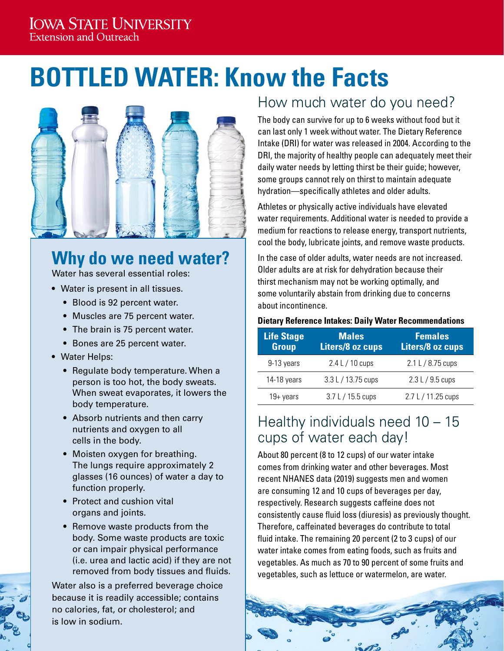#### **IOWA STATE UNIVERSITY Extension and Outreach**

# **BOTTLED WATER: Know the Facts**



## **Why do we need water?**

Water has several essential roles:

- Water is present in all tissues.
	- Blood is 92 percent water.
	- Muscles are 75 percent water.
	- The brain is 75 percent water.
	- Bones are 25 percent water.
- Water Helps:
	- Regulate body temperature. When a person is too hot, the body sweats. When sweat evaporates, it lowers the body temperature.
	- Absorb nutrients and then carry nutrients and oxygen to all cells in the body.
	- Moisten oxygen for breathing. The lungs require approximately 2 glasses (16 ounces) of water a day to function properly.
	- Protect and cushion vital organs and joints.
	- Remove waste products from the body. Some waste products are toxic or can impair physical performance (i.e. urea and lactic acid) if they are not removed from body tissues and fluids.

Water also is a preferred beverage choice because it is readily accessible; contains no calories, fat, or cholesterol; and is low in sodium.

### How much water do you need?

The body can survive for up to 6 weeks without food but it can last only 1 week without water. The Dietary Reference Intake (DRI) for water was released in 2004. According to the DRI, the majority of healthy people can adequately meet their daily water needs by letting thirst be their guide; however, some groups cannot rely on thirst to maintain adequate hydration—specifically athletes and older adults.

Athletes or physically active individuals have elevated water requirements. Additional water is needed to provide a medium for reactions to release energy, transport nutrients, cool the body, lubricate joints, and remove waste products.

In the case of older adults, water needs are not increased. Older adults are at risk for dehydration because their thirst mechanism may not be working optimally, and some voluntarily abstain from drinking due to concerns about incontinence.

#### **Dietary Reference Intakes: Daily Water Recommendations**

| <b>Life Stage</b><br><b>Group</b> | <b>Males</b><br>Liters/8 oz cups | <b>Females</b><br>Liters/8 oz cups |
|-----------------------------------|----------------------------------|------------------------------------|
| 9-13 years                        | $2.4 L / 10 \text{ cups}$        | $2.1 L / 8.75 \text{ cups}$        |
| 14-18 years                       | 3.3 L / 13.75 cups               | 2.3 L / 9.5 cups                   |
| $19 + years$                      | $3.7 L / 15.5$ cups              | 2.7 L / 11.25 cups                 |

#### Healthy individuals need 10 – 15 cups of water each day!

About 80 percent (8 to 12 cups) of our water intake comes from drinking water and other beverages. Most recent NHANES data (2019) suggests men and women are consuming 12 and 10 cups of beverages per day, respectively. Research suggests caffeine does not consistently cause fluid loss (diuresis) as previously thought. Therefore, caffeinated beverages do contribute to total fluid intake. The remaining 20 percent (2 to 3 cups) of our water intake comes from eating foods, such as fruits and vegetables. As much as 70 to 90 percent of some fruits and vegetables, such as lettuce or watermelon, are water.



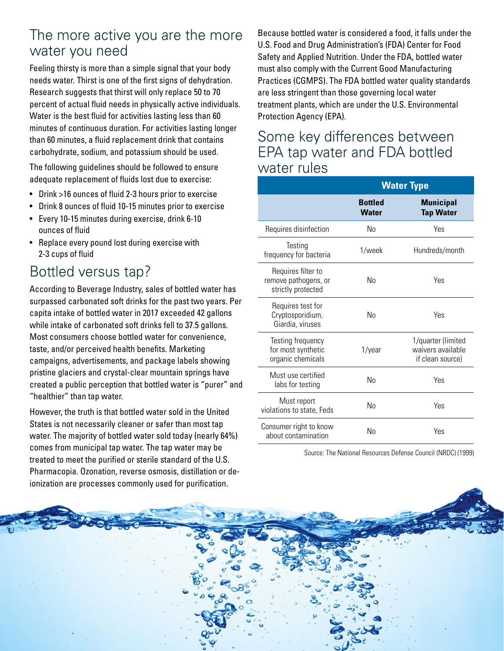#### The more active you are the more water you need

Feeling thirsty is more than a simple signal that your body needs water. Thirst is one of the first signs of dehydration. Research suggests that thirst will only replace 50 to 70 percent of actual fluid needs in physically active individuals. Water is the best fluid for activities lasting less than 60 minutes of continuous duration. For activities lasting longer than 60 minutes, a fluid replacement drink that contains carbohydrate, sodium, and potassium should be used.

The following guidelines should be followed to ensure adequate replacement of fluids lost due to exercise:

- Drink >16 ounces of fluid 2-3 hours prior to exercise
- Drink 8 ounces of fluid 10-15 minutes prior to exercise
- Every 10-15 minutes during exercise, drink 6-10 ounces of fluid
- Replace every pound lost during exercise with 2-3 cups of fluid

#### Bottled versus tap?

According to Beverage Industry, sales of bottled water has surpassed carbonated soft drinks for the past two years. Per capita intake of bottled water in 2017 exceeded 42 gallons while intake of carbonated soft drinks fell to 37.5 gallons. Most consumers choose bottled water for convenience, taste, and/or perceived health benefits. Marketing campaigns, advertisements, and package labels showing pristine glaciers and crystal-clear mountain springs have created a public perception that bottled water is "purer" and "healthier" than tap water.

However, the truth is that bottled water sold in the United States is not necessarily cleaner or safer than most tap water. The majority of bottled water sold today (nearly 64%) comes from municipal tap water. The tap water may be treated to meet the purified or sterile standard of the U.S. Pharmacopia. Ozonation, reverse osmosis, distillation or deionization are processes commonly used for purification.

Because bottled water is considered a food, it falls under the U.S. Food and Drug Administration's (FDA) Center for Food Safety and Applied Nutrition. Under the FDA, bottled water must also comply with the Current Good Manufacturing Practices (CGMPS). The FDA bottled water quality standards are less stringent than those governing local water treatment plants, which are under the U.S. Environmental Protection Agency (EPA).

#### Some key differences between EPA tap water and FDA bottled water rules

|                                                                  | <b>Water Type</b>              |                                                             |  |
|------------------------------------------------------------------|--------------------------------|-------------------------------------------------------------|--|
|                                                                  | <b>Bottled</b><br><b>Water</b> | <b>Municipal</b><br><b>Tap Water</b>                        |  |
| Requires disinfection                                            | No                             | Yes                                                         |  |
| Testing<br>frequency for bacteria                                | 1/week                         | Hundreds/month                                              |  |
| Requires filter to<br>remove pathogens, or<br>strictly protected | No                             | Yes                                                         |  |
| Requires test for<br>Cryptosporidium,<br>Giardia, viruses        | No                             | Yes                                                         |  |
| Testing frequency<br>for most synthetic<br>organic chemicals     | 1/year                         | 1/quarter (limited<br>waivers available<br>if clean source) |  |
| Must use certified<br>labs for testing                           | No                             | Yes                                                         |  |
| Must report<br>violations to state, Feds                         | No                             | Yes                                                         |  |
| Consumer right to know<br>about contamination                    | No                             | Yes                                                         |  |

Source: The National Resources Defense Council (NRDC) (1999)

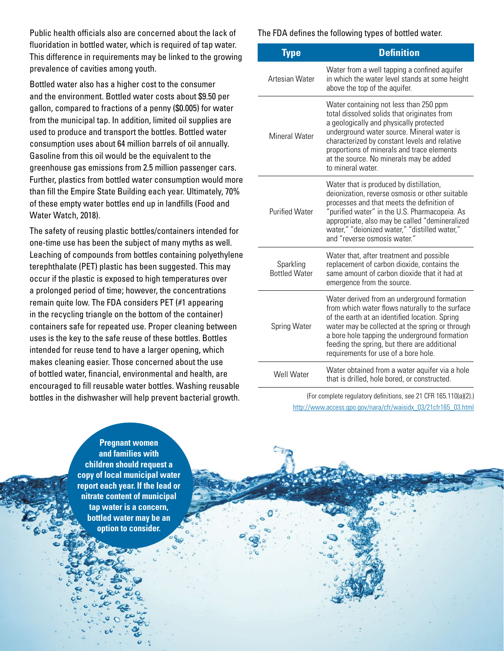Public health officials also are concerned about the lack of fluoridation in bottled water, which is required of tap water. This difference in requirements may be linked to the growing prevalence of cavities among youth.

Bottled water also has a higher cost to the consumer and the environment. Bottled water costs about \$9.50 per gallon, compared to fractions of a penny (\$0.005) for water from the municipal tap. In addition, limited oil supplies are used to produce and transport the bottles. Bottled water consumption uses about 64 million barrels of oil annually. Gasoline from this oil would be the equivalent to the greenhouse gas emissions from 2.5 million passenger cars. Further, plastics from bottled water consumption would more than fill the Empire State Building each year. Ultimately, 70% of these empty water bottles end up in landfills (Food and Water Watch, 2018).

The safety of reusing plastic bottles/containers intended for one-time use has been the subject of many myths as well. Leaching of compounds from bottles containing polyethylene terephthalate (PET) plastic has been suggested. This may occur if the plastic is exposed to high temperatures over a prolonged period of time; however, the concentrations remain quite low. The FDA considers PET (#1 appearing in the recycling triangle on the bottom of the container) containers safe for repeated use. Proper cleaning between uses is the key to the safe reuse of these bottles. Bottles intended for reuse tend to have a larger opening, which makes cleaning easier. Those concerned about the use of bottled water, financial, environmental and health, are encouraged to fill reusable water bottles. Washing reusable bottles in the dishwasher will help prevent bacterial growth.

The FDA defines the following types of bottled water.

| Type                              | <b>Definition</b>                                                                                                                                                                                                                                                                                                                             |
|-----------------------------------|-----------------------------------------------------------------------------------------------------------------------------------------------------------------------------------------------------------------------------------------------------------------------------------------------------------------------------------------------|
| Artesian Water                    | Water from a well tapping a confined aquifer<br>in which the water level stands at some height<br>above the top of the aquifer.                                                                                                                                                                                                               |
| Mineral Water                     | Water containing not less than 250 ppm<br>total dissolved solids that originates from<br>a geologically and physically protected<br>underground water source. Mineral water is<br>characterized by constant levels and relative<br>proportions of minerals and trace elements<br>at the source. No minerals may be added<br>to mineral water. |
| <b>Purified Water</b>             | Water that is produced by distillation,<br>deionization, reverse osmosis or other suitable<br>processes and that meets the definition of<br>"purified water" in the U.S. Pharmacopeia. As<br>appropriate, also may be called "demineralized<br>water," "deionized water," "distilled water,"<br>and "reverse osmosis water."                  |
| Sparkling<br><b>Bottled Water</b> | Water that, after treatment and possible<br>replacement of carbon dioxide, contains the<br>same amount of carbon dioxide that it had at<br>emergence from the source.                                                                                                                                                                         |
| Spring Water                      | Water derived from an underground formation<br>from which water flows naturally to the surface<br>of the earth at an identified location. Spring<br>water may be collected at the spring or through<br>a bore hole tapping the underground formation<br>feeding the spring, but there are additional<br>requirements for use of a bore hole.  |
| Well Water                        | Water obtained from a water aquifer via a hole<br>that is drilled, hole bored, or constructed.                                                                                                                                                                                                                                                |

(For complete regulatory definitions, see 21 CFR 165.110(a)(2).) [http://www.access.gpo.gov/nara/cfr/waisidx\\_03/21cfr165\\_03.html](http://www.access.gpo.gov/nara/cfr/waisidx_03/21cfr165_03.html)

**Pregnant women and families with children should request a copy of local municipal water report each year. If the lead or nitrate content of municipal tap water is a concern, bottled water may be an option to consider.**